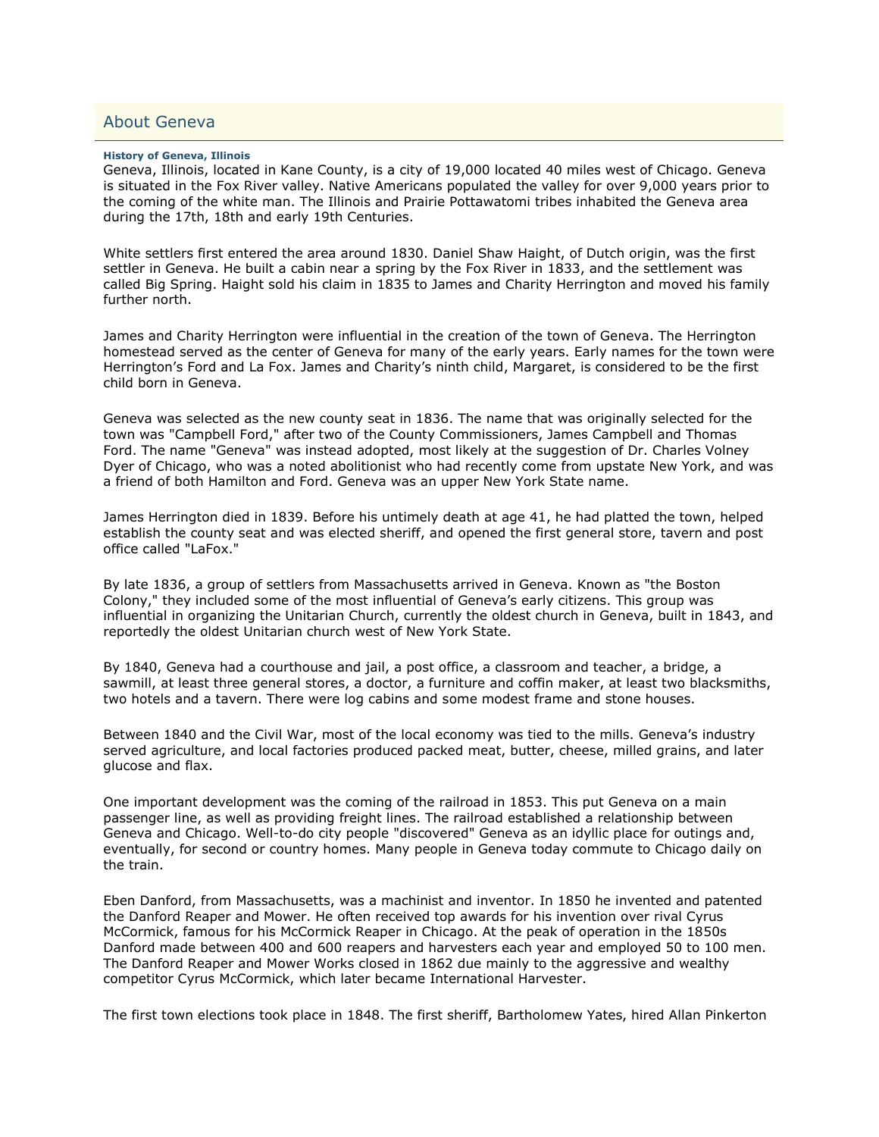## About Geneva

## **History of Geneva, Illinois**

Geneva, Illinois, located in Kane County, is a city of 19,000 located 40 miles west of Chicago. Geneva is situated in the Fox River valley. Native Americans populated the valley for over 9,000 years prior to the coming of the white man. The Illinois and Prairie Pottawatomi tribes inhabited the Geneva area during the 17th, 18th and early 19th Centuries.

White settlers first entered the area around 1830. Daniel Shaw Haight, of Dutch origin, was the first settler in Geneva. He built a cabin near a spring by the Fox River in 1833, and the settlement was called Big Spring. Haight sold his claim in 1835 to James and Charity Herrington and moved his family further north.

James and Charity Herrington were influential in the creation of the town of Geneva. The Herrington homestead served as the center of Geneva for many of the early years. Early names for the town were Herrington's Ford and La Fox. James and Charity's ninth child, Margaret, is considered to be the first child born in Geneva.

Geneva was selected as the new county seat in 1836. The name that was originally selected for the town was "Campbell Ford," after two of the County Commissioners, James Campbell and Thomas Ford. The name "Geneva" was instead adopted, most likely at the suggestion of Dr. Charles Volney Dyer of Chicago, who was a noted abolitionist who had recently come from upstate New York, and was a friend of both Hamilton and Ford. Geneva was an upper New York State name.

James Herrington died in 1839. Before his untimely death at age 41, he had platted the town, helped establish the county seat and was elected sheriff, and opened the first general store, tavern and post office called "LaFox."

By late 1836, a group of settlers from Massachusetts arrived in Geneva. Known as "the Boston Colony," they included some of the most influential of Geneva's early citizens. This group was influential in organizing the Unitarian Church, currently the oldest church in Geneva, built in 1843, and reportedly the oldest Unitarian church west of New York State.

By 1840, Geneva had a courthouse and jail, a post office, a classroom and teacher, a bridge, a sawmill, at least three general stores, a doctor, a furniture and coffin maker, at least two blacksmiths, two hotels and a tavern. There were log cabins and some modest frame and stone houses.

Between 1840 and the Civil War, most of the local economy was tied to the mills. Geneva's industry served agriculture, and local factories produced packed meat, butter, cheese, milled grains, and later glucose and flax.

One important development was the coming of the railroad in 1853. This put Geneva on a main passenger line, as well as providing freight lines. The railroad established a relationship between Geneva and Chicago. Well-to-do city people "discovered" Geneva as an idyllic place for outings and, eventually, for second or country homes. Many people in Geneva today commute to Chicago daily on the train.

Eben Danford, from Massachusetts, was a machinist and inventor. In 1850 he invented and patented the Danford Reaper and Mower. He often received top awards for his invention over rival Cyrus McCormick, famous for his McCormick Reaper in Chicago. At the peak of operation in the 1850s Danford made between 400 and 600 reapers and harvesters each year and employed 50 to 100 men. The Danford Reaper and Mower Works closed in 1862 due mainly to the aggressive and wealthy competitor Cyrus McCormick, which later became International Harvester.

The first town elections took place in 1848. The first sheriff, Bartholomew Yates, hired Allan Pinkerton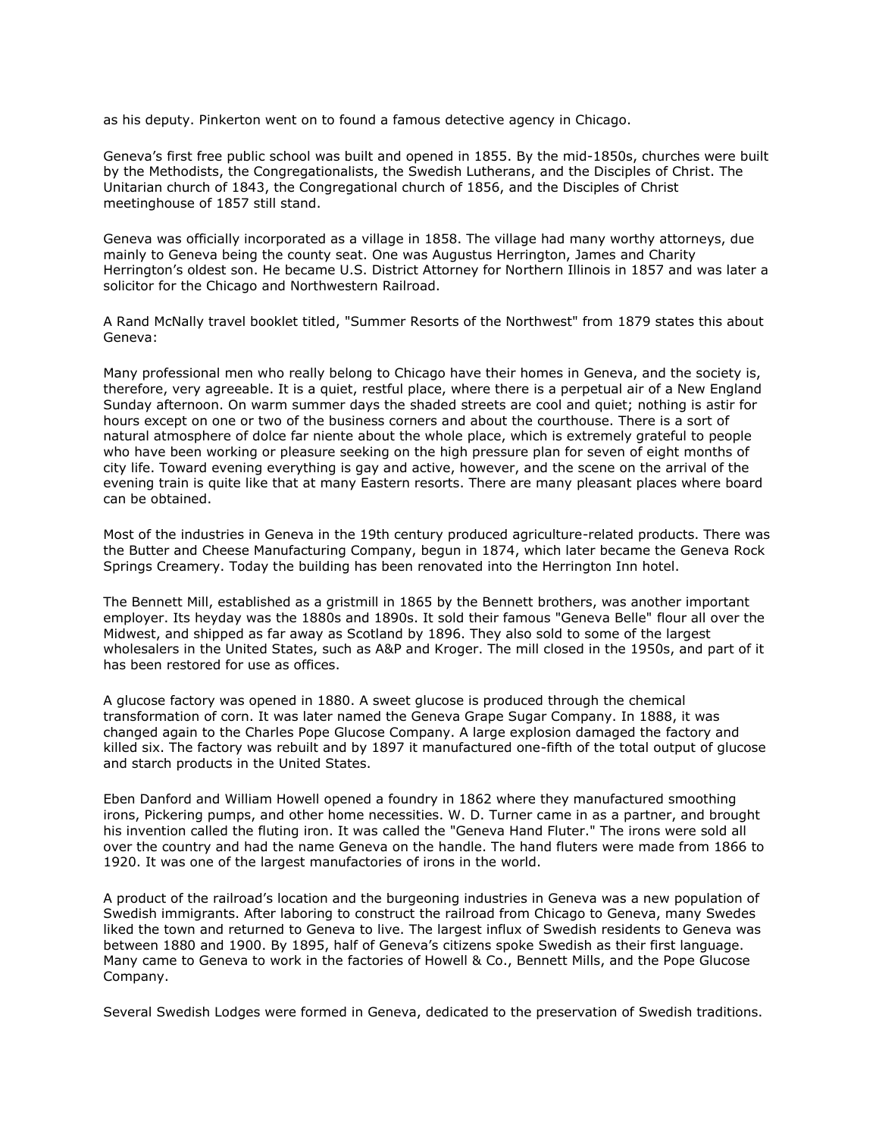as his deputy. Pinkerton went on to found a famous detective agency in Chicago.

Geneva's first free public school was built and opened in 1855. By the mid-1850s, churches were built by the Methodists, the Congregationalists, the Swedish Lutherans, and the Disciples of Christ. The Unitarian church of 1843, the Congregational church of 1856, and the Disciples of Christ meetinghouse of 1857 still stand.

Geneva was officially incorporated as a village in 1858. The village had many worthy attorneys, due mainly to Geneva being the county seat. One was Augustus Herrington, James and Charity Herrington's oldest son. He became U.S. District Attorney for Northern Illinois in 1857 and was later a solicitor for the Chicago and Northwestern Railroad.

A Rand McNally travel booklet titled, "Summer Resorts of the Northwest" from 1879 states this about Geneva:

Many professional men who really belong to Chicago have their homes in Geneva, and the society is, therefore, very agreeable. It is a quiet, restful place, where there is a perpetual air of a New England Sunday afternoon. On warm summer days the shaded streets are cool and quiet; nothing is astir for hours except on one or two of the business corners and about the courthouse. There is a sort of natural atmosphere of dolce far niente about the whole place, which is extremely grateful to people who have been working or pleasure seeking on the high pressure plan for seven of eight months of city life. Toward evening everything is gay and active, however, and the scene on the arrival of the evening train is quite like that at many Eastern resorts. There are many pleasant places where board can be obtained.

Most of the industries in Geneva in the 19th century produced agriculture-related products. There was the Butter and Cheese Manufacturing Company, begun in 1874, which later became the Geneva Rock Springs Creamery. Today the building has been renovated into the Herrington Inn hotel.

The Bennett Mill, established as a gristmill in 1865 by the Bennett brothers, was another important employer. Its heyday was the 1880s and 1890s. It sold their famous "Geneva Belle" flour all over the Midwest, and shipped as far away as Scotland by 1896. They also sold to some of the largest wholesalers in the United States, such as A&P and Kroger. The mill closed in the 1950s, and part of it has been restored for use as offices.

A glucose factory was opened in 1880. A sweet glucose is produced through the chemical transformation of corn. It was later named the Geneva Grape Sugar Company. In 1888, it was changed again to the Charles Pope Glucose Company. A large explosion damaged the factory and killed six. The factory was rebuilt and by 1897 it manufactured one-fifth of the total output of glucose and starch products in the United States.

Eben Danford and William Howell opened a foundry in 1862 where they manufactured smoothing irons, Pickering pumps, and other home necessities. W. D. Turner came in as a partner, and brought his invention called the fluting iron. It was called the "Geneva Hand Fluter." The irons were sold all over the country and had the name Geneva on the handle. The hand fluters were made from 1866 to 1920. It was one of the largest manufactories of irons in the world.

A product of the railroad's location and the burgeoning industries in Geneva was a new population of Swedish immigrants. After laboring to construct the railroad from Chicago to Geneva, many Swedes liked the town and returned to Geneva to live. The largest influx of Swedish residents to Geneva was between 1880 and 1900. By 1895, half of Geneva's citizens spoke Swedish as their first language. Many came to Geneva to work in the factories of Howell & Co., Bennett Mills, and the Pope Glucose Company.

Several Swedish Lodges were formed in Geneva, dedicated to the preservation of Swedish traditions.